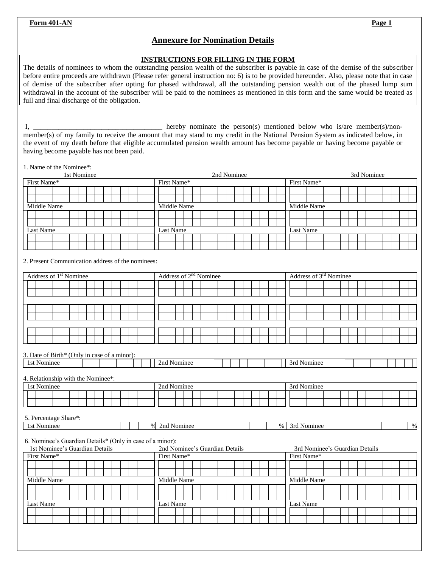**Form 401-AN Page 1** 

## **Annexure for Nomination Details**

## **INSTRUCTIONS FOR FILLING IN THE FORM**

The details of nominees to whom the outstanding pension wealth of the subscriber is payable in case of the demise of the subscriber before entire proceeds are withdrawn (Please refer general instruction no: 6) is to be provided hereunder. Also, please note that in case of demise of the subscriber after opting for phased withdrawal, all the outstanding pension wealth out of the phased lump sum withdrawal in the account of the subscriber will be paid to the nominees as mentioned in this form and the same would be treated as full and final discharge of the obligation.

I, \_\_\_\_\_\_\_\_\_\_\_\_\_\_\_\_\_\_\_\_\_\_\_\_\_\_\_\_\_\_\_\_ hereby nominate the person(s) mentioned below who is/are member(s)/nonmember(s) of my family to receive the amount that may stand to my credit in the National Pension System as indicated below, in the event of my death before that eligible accumulated pension wealth amount has become payable or having become payable or having become payable has not been paid.

1. Name of the Nominee\*:

| 1st Nominee                                               | 2nd Nominee                        | 3rd Nominee                        |  |  |  |  |  |
|-----------------------------------------------------------|------------------------------------|------------------------------------|--|--|--|--|--|
| First Name*                                               | First Name*                        | First Name*                        |  |  |  |  |  |
|                                                           |                                    |                                    |  |  |  |  |  |
|                                                           |                                    |                                    |  |  |  |  |  |
| Middle Name                                               | Middle Name                        | Middle Name                        |  |  |  |  |  |
|                                                           |                                    |                                    |  |  |  |  |  |
|                                                           |                                    |                                    |  |  |  |  |  |
| Last Name                                                 | Last Name                          | Last Name                          |  |  |  |  |  |
|                                                           |                                    |                                    |  |  |  |  |  |
|                                                           |                                    |                                    |  |  |  |  |  |
| 2. Present Communication address of the nominees:         |                                    |                                    |  |  |  |  |  |
| Address of 1 <sup>st</sup> Nominee                        | Address of 2 <sup>nd</sup> Nominee | Address of 3 <sup>rd</sup> Nominee |  |  |  |  |  |
|                                                           |                                    |                                    |  |  |  |  |  |
|                                                           |                                    |                                    |  |  |  |  |  |
|                                                           |                                    |                                    |  |  |  |  |  |
|                                                           |                                    |                                    |  |  |  |  |  |
|                                                           |                                    |                                    |  |  |  |  |  |
|                                                           |                                    |                                    |  |  |  |  |  |
|                                                           |                                    |                                    |  |  |  |  |  |
|                                                           |                                    |                                    |  |  |  |  |  |
|                                                           |                                    |                                    |  |  |  |  |  |
| 3. Date of Birth* (Only in case of a minor):              |                                    |                                    |  |  |  |  |  |
| 1st Nominee                                               | 2nd Nominee                        | 3rd Nominee                        |  |  |  |  |  |
|                                                           |                                    |                                    |  |  |  |  |  |
| 4. Relationship with the Nominee*:                        |                                    |                                    |  |  |  |  |  |
| 1st Nominee                                               | 2nd Nominee                        | 3rd Nominee                        |  |  |  |  |  |
|                                                           |                                    |                                    |  |  |  |  |  |
|                                                           |                                    |                                    |  |  |  |  |  |
|                                                           |                                    |                                    |  |  |  |  |  |
| 5. Percentage Share*:                                     |                                    |                                    |  |  |  |  |  |
| $\%$<br>1st Nominee                                       | 2nd Nominee<br>$\%$                | 3rd Nominee<br>$\%$                |  |  |  |  |  |
|                                                           |                                    |                                    |  |  |  |  |  |
| 6. Nominee's Guardian Details* (Only in case of a minor): |                                    |                                    |  |  |  |  |  |
| 1st Nominee's Guardian Details                            | 2nd Nominee's Guardian Details     | 3rd Nominee's Guardian Details     |  |  |  |  |  |
| First Name*                                               | First Name*                        | First Name*                        |  |  |  |  |  |
|                                                           |                                    |                                    |  |  |  |  |  |
|                                                           |                                    |                                    |  |  |  |  |  |
| Middle Name                                               | Middle Name                        |                                    |  |  |  |  |  |
|                                                           | Middle Name                        |                                    |  |  |  |  |  |
|                                                           |                                    |                                    |  |  |  |  |  |
| Last Name                                                 |                                    |                                    |  |  |  |  |  |
|                                                           | Last Name                          | Last Name                          |  |  |  |  |  |
|                                                           |                                    |                                    |  |  |  |  |  |
|                                                           |                                    |                                    |  |  |  |  |  |
|                                                           |                                    |                                    |  |  |  |  |  |